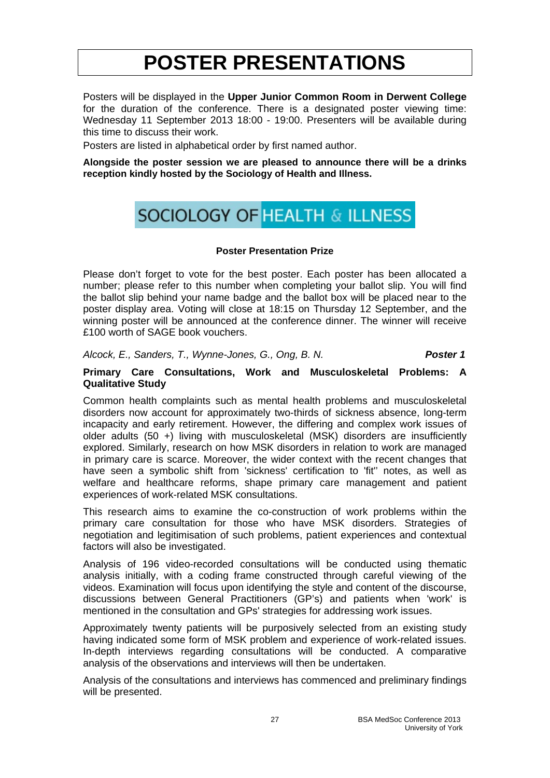Posters will be displayed in the **Upper Junior Common Room in Derwent College**  for the duration of the conference. There is a designated poster viewing time: Wednesday 11 September 2013 18:00 - 19:00. Presenters will be available during this time to discuss their work.

Posters are listed in alphabetical order by first named author.

**Alongside the poster session we are pleased to announce there will be a drinks reception kindly hosted by the Sociology of Health and Illness.** 

# **SOCIOLOGY OF HEALTH & ILLNESS**

# **Poster Presentation Prize**

Please don't forget to vote for the best poster. Each poster has been allocated a number; please refer to this number when completing your ballot slip. You will find the ballot slip behind your name badge and the ballot box will be placed near to the poster display area. Voting will close at 18:15 on Thursday 12 September, and the winning poster will be announced at the conference dinner. The winner will receive £100 worth of SAGE book vouchers.

*Alcock, E., Sanders, T., Wynne-Jones, G., Ong, B. N. Poster 1*

### **Primary Care Consultations, Work and Musculoskeletal Problems: A Qualitative Study**

Common health complaints such as mental health problems and musculoskeletal disorders now account for approximately two-thirds of sickness absence, long-term incapacity and early retirement. However, the differing and complex work issues of older adults (50 +) living with musculoskeletal (MSK) disorders are insufficiently explored. Similarly, research on how MSK disorders in relation to work are managed in primary care is scarce. Moreover, the wider context with the recent changes that have seen a symbolic shift from 'sickness' certification to 'fit'' notes, as well as welfare and healthcare reforms, shape primary care management and patient experiences of work-related MSK consultations.

This research aims to examine the co-construction of work problems within the primary care consultation for those who have MSK disorders. Strategies of negotiation and legitimisation of such problems, patient experiences and contextual factors will also be investigated.

Analysis of 196 video-recorded consultations will be conducted using thematic analysis initially, with a coding frame constructed through careful viewing of the videos. Examination will focus upon identifying the style and content of the discourse, discussions between General Practitioners (GP's) and patients when 'work' is mentioned in the consultation and GPs' strategies for addressing work issues.

Approximately twenty patients will be purposively selected from an existing study having indicated some form of MSK problem and experience of work-related issues. In-depth interviews regarding consultations will be conducted. A comparative analysis of the observations and interviews will then be undertaken.

Analysis of the consultations and interviews has commenced and preliminary findings will be presented.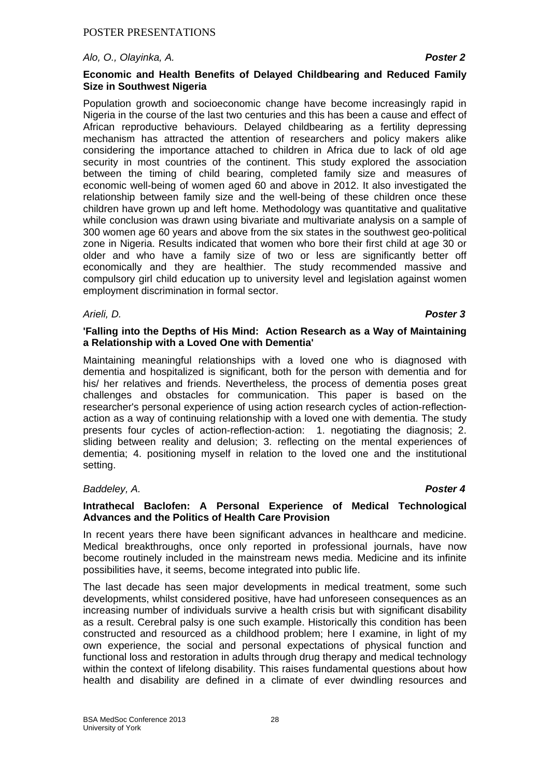### *Alo, O., Olayinka, A. Poster 2*

# **Economic and Health Benefits of Delayed Childbearing and Reduced Family Size in Southwest Nigeria**

Population growth and socioeconomic change have become increasingly rapid in Nigeria in the course of the last two centuries and this has been a cause and effect of African reproductive behaviours. Delayed childbearing as a fertility depressing mechanism has attracted the attention of researchers and policy makers alike considering the importance attached to children in Africa due to lack of old age security in most countries of the continent. This study explored the association between the timing of child bearing, completed family size and measures of economic well-being of women aged 60 and above in 2012. It also investigated the relationship between family size and the well-being of these children once these children have grown up and left home. Methodology was quantitative and qualitative while conclusion was drawn using bivariate and multivariate analysis on a sample of 300 women age 60 years and above from the six states in the southwest geo-political zone in Nigeria. Results indicated that women who bore their first child at age 30 or older and who have a family size of two or less are significantly better off economically and they are healthier. The study recommended massive and compulsory girl child education up to university level and legislation against women employment discrimination in formal sector.

### *Arieli, D. Poster 3*

### **'Falling into the Depths of His Mind: Action Research as a Way of Maintaining a Relationship with a Loved One with Dementia'**

Maintaining meaningful relationships with a loved one who is diagnosed with dementia and hospitalized is significant, both for the person with dementia and for his/ her relatives and friends. Nevertheless, the process of dementia poses great challenges and obstacles for communication. This paper is based on the researcher's personal experience of using action research cycles of action-reflectionaction as a way of continuing relationship with a loved one with dementia. The study presents four cycles of action-reflection-action: 1. negotiating the diagnosis; 2. sliding between reality and delusion; 3. reflecting on the mental experiences of dementia; 4. positioning myself in relation to the loved one and the institutional setting.

# *Baddeley, A. Poster 4*

#### **Intrathecal Baclofen: A Personal Experience of Medical Technological Advances and the Politics of Health Care Provision**

In recent years there have been significant advances in healthcare and medicine. Medical breakthroughs, once only reported in professional journals, have now become routinely included in the mainstream news media. Medicine and its infinite possibilities have, it seems, become integrated into public life.

The last decade has seen major developments in medical treatment, some such developments, whilst considered positive, have had unforeseen consequences as an increasing number of individuals survive a health crisis but with significant disability as a result. Cerebral palsy is one such example. Historically this condition has been constructed and resourced as a childhood problem; here I examine, in light of my own experience, the social and personal expectations of physical function and functional loss and restoration in adults through drug therapy and medical technology within the context of lifelong disability. This raises fundamental questions about how health and disability are defined in a climate of ever dwindling resources and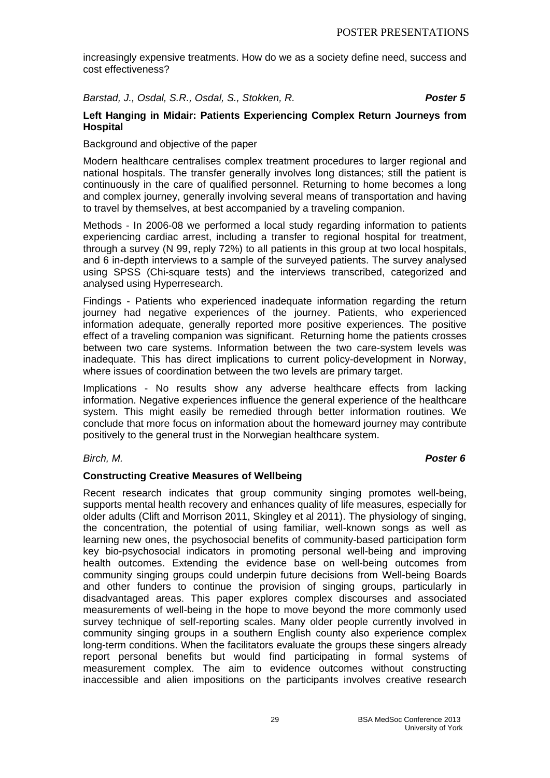increasingly expensive treatments. How do we as a society define need, success and cost effectiveness?

# *Barstad, J., Osdal, S.R., Osdal, S., Stokken, R. Poster 5*

# **Left Hanging in Midair: Patients Experiencing Complex Return Journeys from Hospital**

# Background and objective of the paper

Modern healthcare centralises complex treatment procedures to larger regional and national hospitals. The transfer generally involves long distances; still the patient is continuously in the care of qualified personnel. Returning to home becomes a long and complex journey, generally involving several means of transportation and having to travel by themselves, at best accompanied by a traveling companion.

Methods - In 2006-08 we performed a local study regarding information to patients experiencing cardiac arrest, including a transfer to regional hospital for treatment, through a survey (N 99, reply 72%) to all patients in this group at two local hospitals, and 6 in-depth interviews to a sample of the surveyed patients. The survey analysed using SPSS (Chi-square tests) and the interviews transcribed, categorized and analysed using Hyperresearch.

Findings - Patients who experienced inadequate information regarding the return journey had negative experiences of the journey. Patients, who experienced information adequate, generally reported more positive experiences. The positive effect of a traveling companion was significant. Returning home the patients crosses between two care systems. Information between the two care-system levels was inadequate. This has direct implications to current policy-development in Norway, where issues of coordination between the two levels are primary target.

Implications - No results show any adverse healthcare effects from lacking information. Negative experiences influence the general experience of the healthcare system. This might easily be remedied through better information routines. We conclude that more focus on information about the homeward journey may contribute positively to the general trust in the Norwegian healthcare system.

### *Birch, M. Poster 6*

# **Constructing Creative Measures of Wellbeing**

Recent research indicates that group community singing promotes well-being, supports mental health recovery and enhances quality of life measures, especially for older adults (Clift and Morrison 2011, Skingley et al 2011). The physiology of singing, the concentration, the potential of using familiar, well-known songs as well as learning new ones, the psychosocial benefits of community-based participation form key bio-psychosocial indicators in promoting personal well-being and improving health outcomes. Extending the evidence base on well-being outcomes from community singing groups could underpin future decisions from Well-being Boards and other funders to continue the provision of singing groups, particularly in disadvantaged areas. This paper explores complex discourses and associated measurements of well-being in the hope to move beyond the more commonly used survey technique of self-reporting scales. Many older people currently involved in community singing groups in a southern English county also experience complex long-term conditions. When the facilitators evaluate the groups these singers already report personal benefits but would find participating in formal systems of measurement complex. The aim to evidence outcomes without constructing inaccessible and alien impositions on the participants involves creative research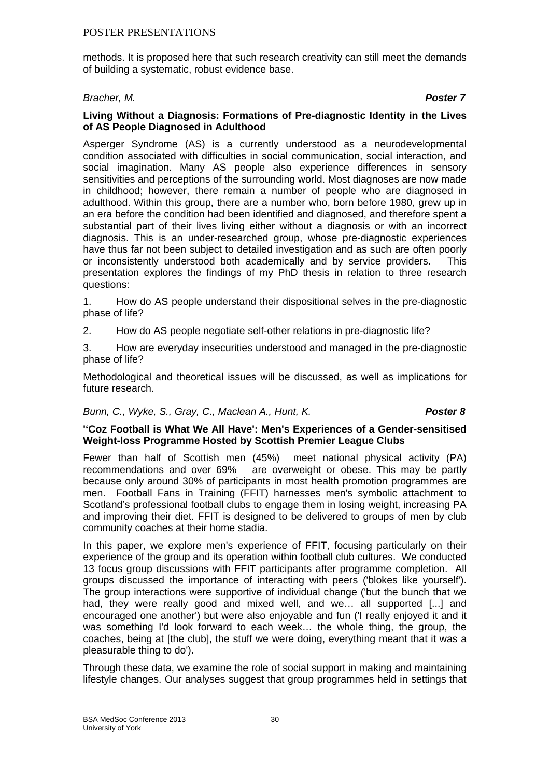methods. It is proposed here that such research creativity can still meet the demands of building a systematic, robust evidence base.

# *Bracher, M. Poster 7*

### **Living Without a Diagnosis: Formations of Pre-diagnostic Identity in the Lives of AS People Diagnosed in Adulthood**

Asperger Syndrome (AS) is a currently understood as a neurodevelopmental condition associated with difficulties in social communication, social interaction, and social imagination. Many AS people also experience differences in sensory sensitivities and perceptions of the surrounding world. Most diagnoses are now made in childhood; however, there remain a number of people who are diagnosed in adulthood. Within this group, there are a number who, born before 1980, grew up in an era before the condition had been identified and diagnosed, and therefore spent a substantial part of their lives living either without a diagnosis or with an incorrect diagnosis. This is an under-researched group, whose pre-diagnostic experiences have thus far not been subject to detailed investigation and as such are often poorly or inconsistently understood both academically and by service providers. This presentation explores the findings of my PhD thesis in relation to three research questions:

1. How do AS people understand their dispositional selves in the pre-diagnostic phase of life?

2. How do AS people negotiate self-other relations in pre-diagnostic life?

3. How are everyday insecurities understood and managed in the pre-diagnostic phase of life?

Methodological and theoretical issues will be discussed, as well as implications for future research.

#### *Bunn, C., Wyke, S., Gray, C., Maclean A., Hunt, K. Poster 8*

### **''Coz Football is What We All Have': Men's Experiences of a Gender-sensitised Weight-loss Programme Hosted by Scottish Premier League Clubs**

Fewer than half of Scottish men (45%) meet national physical activity (PA) recommendations and over 69% are overweight or obese. This may be partly because only around 30% of participants in most health promotion programmes are men. Football Fans in Training (FFIT) harnesses men's symbolic attachment to Scotland's professional football clubs to engage them in losing weight, increasing PA and improving their diet. FFIT is designed to be delivered to groups of men by club community coaches at their home stadia.

In this paper, we explore men's experience of FFIT, focusing particularly on their experience of the group and its operation within football club cultures. We conducted 13 focus group discussions with FFIT participants after programme completion. All groups discussed the importance of interacting with peers ('blokes like yourself'). The group interactions were supportive of individual change ('but the bunch that we had, they were really good and mixed well, and we... all supported [...] and encouraged one another') but were also enjoyable and fun ('I really enjoyed it and it was something I'd look forward to each week… the whole thing, the group, the coaches, being at [the club], the stuff we were doing, everything meant that it was a pleasurable thing to do').

Through these data, we examine the role of social support in making and maintaining lifestyle changes. Our analyses suggest that group programmes held in settings that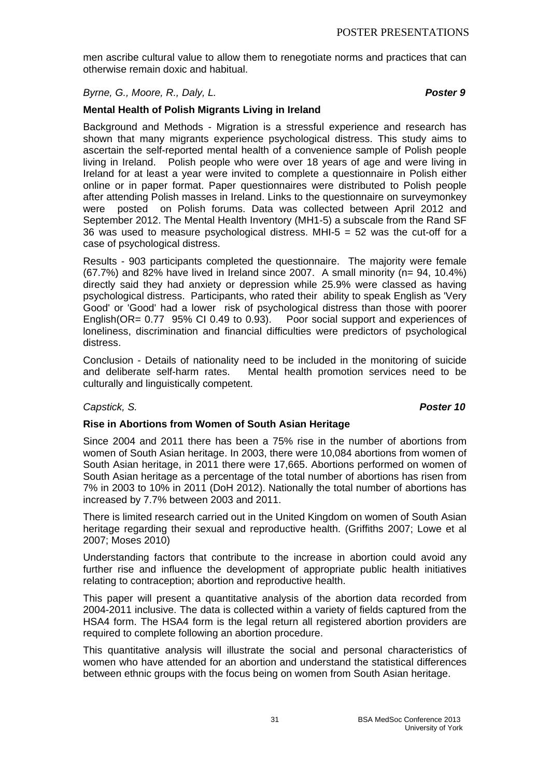men ascribe cultural value to allow them to renegotiate norms and practices that can otherwise remain doxic and habitual.

*Byrne, G., Moore, R., Daly, L. Poster 9*

# **Mental Health of Polish Migrants Living in Ireland**

Background and Methods - Migration is a stressful experience and research has shown that many migrants experience psychological distress. This study aims to ascertain the self-reported mental health of a convenience sample of Polish people living in Ireland. Polish people who were over 18 years of age and were living in Ireland for at least a year were invited to complete a questionnaire in Polish either online or in paper format. Paper questionnaires were distributed to Polish people after attending Polish masses in Ireland. Links to the questionnaire on surveymonkey were posted on Polish forums. Data was collected between April 2012 and September 2012. The Mental Health Inventory (MH1-5) a subscale from the Rand SF 36 was used to measure psychological distress. MHI-5  $=$  52 was the cut-off for a case of psychological distress.

Results - 903 participants completed the questionnaire. The majority were female  $(67.7%)$  and 82% have lived in Ireland since 2007. A small minority (n= 94, 10.4%) directly said they had anxiety or depression while 25.9% were classed as having psychological distress. Participants, who rated their ability to speak English as 'Very Good' or 'Good' had a lower risk of psychological distress than those with poorer English(OR= 0.77 95% CI 0.49 to 0.93). Poor social support and experiences of loneliness, discrimination and financial difficulties were predictors of psychological distress.

Conclusion - Details of nationality need to be included in the monitoring of suicide and deliberate self-harm rates. Mental health promotion services need to be culturally and linguistically competent.

# *Capstick, S. Poster 10*

# **Rise in Abortions from Women of South Asian Heritage**

Since 2004 and 2011 there has been a 75% rise in the number of abortions from women of South Asian heritage. In 2003, there were 10,084 abortions from women of South Asian heritage, in 2011 there were 17,665. Abortions performed on women of South Asian heritage as a percentage of the total number of abortions has risen from 7% in 2003 to 10% in 2011 (DoH 2012). Nationally the total number of abortions has increased by 7.7% between 2003 and 2011.

There is limited research carried out in the United Kingdom on women of South Asian heritage regarding their sexual and reproductive health. (Griffiths 2007; Lowe et al 2007; Moses 2010)

Understanding factors that contribute to the increase in abortion could avoid any further rise and influence the development of appropriate public health initiatives relating to contraception; abortion and reproductive health.

This paper will present a quantitative analysis of the abortion data recorded from 2004-2011 inclusive. The data is collected within a variety of fields captured from the HSA4 form. The HSA4 form is the legal return all registered abortion providers are required to complete following an abortion procedure.

This quantitative analysis will illustrate the social and personal characteristics of women who have attended for an abortion and understand the statistical differences between ethnic groups with the focus being on women from South Asian heritage.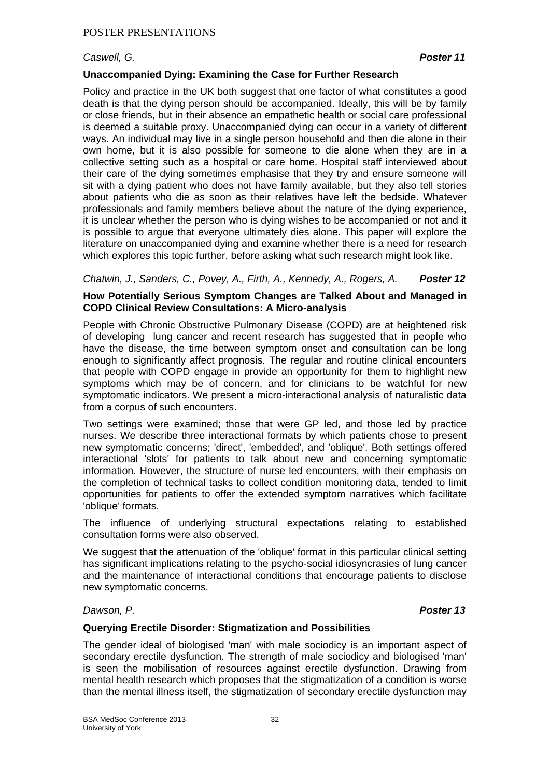# *Caswell, G. Poster 11*

# **Unaccompanied Dying: Examining the Case for Further Research**

Policy and practice in the UK both suggest that one factor of what constitutes a good death is that the dying person should be accompanied. Ideally, this will be by family or close friends, but in their absence an empathetic health or social care professional is deemed a suitable proxy. Unaccompanied dying can occur in a variety of different ways. An individual may live in a single person household and then die alone in their own home, but it is also possible for someone to die alone when they are in a collective setting such as a hospital or care home. Hospital staff interviewed about their care of the dying sometimes emphasise that they try and ensure someone will sit with a dying patient who does not have family available, but they also tell stories about patients who die as soon as their relatives have left the bedside. Whatever professionals and family members believe about the nature of the dying experience, it is unclear whether the person who is dying wishes to be accompanied or not and it is possible to argue that everyone ultimately dies alone. This paper will explore the literature on unaccompanied dying and examine whether there is a need for research which explores this topic further, before asking what such research might look like.

# *Chatwin, J., Sanders, C., Povey, A., Firth, A., Kennedy, A., Rogers, A. Poster 12*

# **How Potentially Serious Symptom Changes are Talked About and Managed in COPD Clinical Review Consultations: A Micro-analysis**

People with Chronic Obstructive Pulmonary Disease (COPD) are at heightened risk of developing lung cancer and recent research has suggested that in people who have the disease, the time between symptom onset and consultation can be long enough to significantly affect prognosis. The regular and routine clinical encounters that people with COPD engage in provide an opportunity for them to highlight new symptoms which may be of concern, and for clinicians to be watchful for new symptomatic indicators. We present a micro-interactional analysis of naturalistic data from a corpus of such encounters.

Two settings were examined; those that were GP led, and those led by practice nurses. We describe three interactional formats by which patients chose to present new symptomatic concerns; 'direct', 'embedded', and 'oblique'. Both settings offered interactional 'slots' for patients to talk about new and concerning symptomatic information. However, the structure of nurse led encounters, with their emphasis on the completion of technical tasks to collect condition monitoring data, tended to limit opportunities for patients to offer the extended symptom narratives which facilitate 'oblique' formats.

The influence of underlying structural expectations relating to established consultation forms were also observed.

We suggest that the attenuation of the 'oblique' format in this particular clinical setting has significant implications relating to the psycho-social idiosyncrasies of lung cancer and the maintenance of interactional conditions that encourage patients to disclose new symptomatic concerns.

# *Dawson, P. Poster 13*

# **Querying Erectile Disorder: Stigmatization and Possibilities**

The gender ideal of biologised 'man' with male sociodicy is an important aspect of secondary erectile dysfunction. The strength of male sociodicy and biologised 'man' is seen the mobilisation of resources against erectile dysfunction. Drawing from mental health research which proposes that the stigmatization of a condition is worse than the mental illness itself, the stigmatization of secondary erectile dysfunction may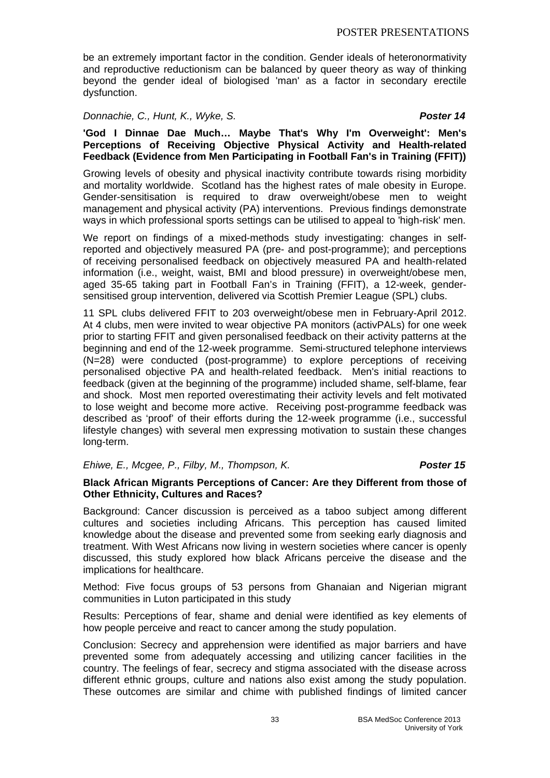be an extremely important factor in the condition. Gender ideals of heteronormativity and reproductive reductionism can be balanced by queer theory as way of thinking beyond the gender ideal of biologised 'man' as a factor in secondary erectile dysfunction.

# *Donnachie, C., Hunt, K., Wyke, S. Poster 14*

**'God I Dinnae Dae Much… Maybe That's Why I'm Overweight': Men's Perceptions of Receiving Objective Physical Activity and Health-related Feedback (Evidence from Men Participating in Football Fan's in Training (FFIT))** 

Growing levels of obesity and physical inactivity contribute towards rising morbidity and mortality worldwide. Scotland has the highest rates of male obesity in Europe. Gender-sensitisation is required to draw overweight/obese men to weight management and physical activity (PA) interventions. Previous findings demonstrate ways in which professional sports settings can be utilised to appeal to 'high-risk' men.

We report on findings of a mixed-methods study investigating: changes in selfreported and objectively measured PA (pre- and post-programme); and perceptions of receiving personalised feedback on objectively measured PA and health-related information (i.e., weight, waist, BMI and blood pressure) in overweight/obese men, aged 35-65 taking part in Football Fan's in Training (FFIT), a 12-week, gendersensitised group intervention, delivered via Scottish Premier League (SPL) clubs.

11 SPL clubs delivered FFIT to 203 overweight/obese men in February-April 2012. At 4 clubs, men were invited to wear objective PA monitors (activPALs) for one week prior to starting FFIT and given personalised feedback on their activity patterns at the beginning and end of the 12-week programme. Semi-structured telephone interviews (N=28) were conducted (post-programme) to explore perceptions of receiving personalised objective PA and health-related feedback. Men's initial reactions to feedback (given at the beginning of the programme) included shame, self-blame, fear and shock. Most men reported overestimating their activity levels and felt motivated to lose weight and become more active. Receiving post-programme feedback was described as 'proof' of their efforts during the 12-week programme (i.e., successful lifestyle changes) with several men expressing motivation to sustain these changes long-term.

# *Ehiwe, E., Mcgee, P., Filby, M., Thompson, K. Poster 15*

#### **Black African Migrants Perceptions of Cancer: Are they Different from those of Other Ethnicity, Cultures and Races?**

Background: Cancer discussion is perceived as a taboo subject among different cultures and societies including Africans. This perception has caused limited knowledge about the disease and prevented some from seeking early diagnosis and treatment. With West Africans now living in western societies where cancer is openly discussed, this study explored how black Africans perceive the disease and the implications for healthcare.

Method: Five focus groups of 53 persons from Ghanaian and Nigerian migrant communities in Luton participated in this study

Results: Perceptions of fear, shame and denial were identified as key elements of how people perceive and react to cancer among the study population.

Conclusion: Secrecy and apprehension were identified as major barriers and have prevented some from adequately accessing and utilizing cancer facilities in the country. The feelings of fear, secrecy and stigma associated with the disease across different ethnic groups, culture and nations also exist among the study population. These outcomes are similar and chime with published findings of limited cancer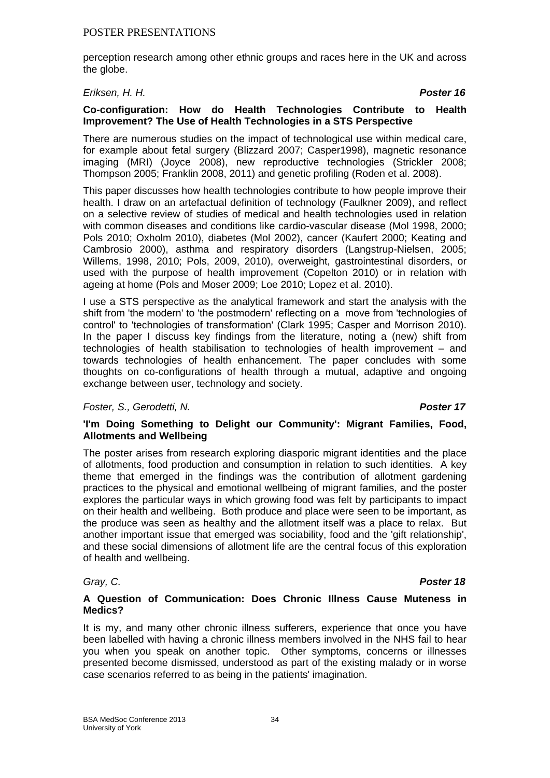perception research among other ethnic groups and races here in the UK and across the globe.

*Eriksen, H. H. Poster 16*

# **Co-configuration: How do Health Technologies Contribute to Health Improvement? The Use of Health Technologies in a STS Perspective**

There are numerous studies on the impact of technological use within medical care, for example about fetal surgery (Blizzard 2007; Casper1998), magnetic resonance imaging (MRI) (Joyce 2008), new reproductive technologies (Strickler 2008; Thompson 2005; Franklin 2008, 2011) and genetic profiling (Roden et al. 2008).

This paper discusses how health technologies contribute to how people improve their health. I draw on an artefactual definition of technology (Faulkner 2009), and reflect on a selective review of studies of medical and health technologies used in relation with common diseases and conditions like cardio-vascular disease (Mol 1998, 2000; Pols 2010; Oxholm 2010), diabetes (Mol 2002), cancer (Kaufert 2000; Keating and Cambrosio 2000), asthma and respiratory disorders (Langstrup-Nielsen, 2005; Willems, 1998, 2010; Pols, 2009, 2010), overweight, gastrointestinal disorders, or used with the purpose of health improvement (Copelton 2010) or in relation with ageing at home (Pols and Moser 2009; Loe 2010; Lopez et al. 2010).

I use a STS perspective as the analytical framework and start the analysis with the shift from 'the modern' to 'the postmodern' reflecting on a move from 'technologies of control' to 'technologies of transformation' (Clark 1995; Casper and Morrison 2010). In the paper I discuss key findings from the literature, noting a (new) shift from technologies of health stabilisation to technologies of health improvement – and towards technologies of health enhancement. The paper concludes with some thoughts on co-configurations of health through a mutual, adaptive and ongoing exchange between user, technology and society.

#### *Foster, S., Gerodetti, N. Poster 17*

### **'I'm Doing Something to Delight our Community': Migrant Families, Food, Allotments and Wellbeing**

The poster arises from research exploring diasporic migrant identities and the place of allotments, food production and consumption in relation to such identities. A key theme that emerged in the findings was the contribution of allotment gardening practices to the physical and emotional wellbeing of migrant families, and the poster explores the particular ways in which growing food was felt by participants to impact on their health and wellbeing. Both produce and place were seen to be important, as the produce was seen as healthy and the allotment itself was a place to relax. But another important issue that emerged was sociability, food and the 'gift relationship', and these social dimensions of allotment life are the central focus of this exploration of health and wellbeing.

#### *Gray, C. Poster 18*

#### **A Question of Communication: Does Chronic Illness Cause Muteness in Medics?**

It is my, and many other chronic illness sufferers, experience that once you have been labelled with having a chronic illness members involved in the NHS fail to hear you when you speak on another topic. Other symptoms, concerns or illnesses presented become dismissed, understood as part of the existing malady or in worse case scenarios referred to as being in the patients' imagination.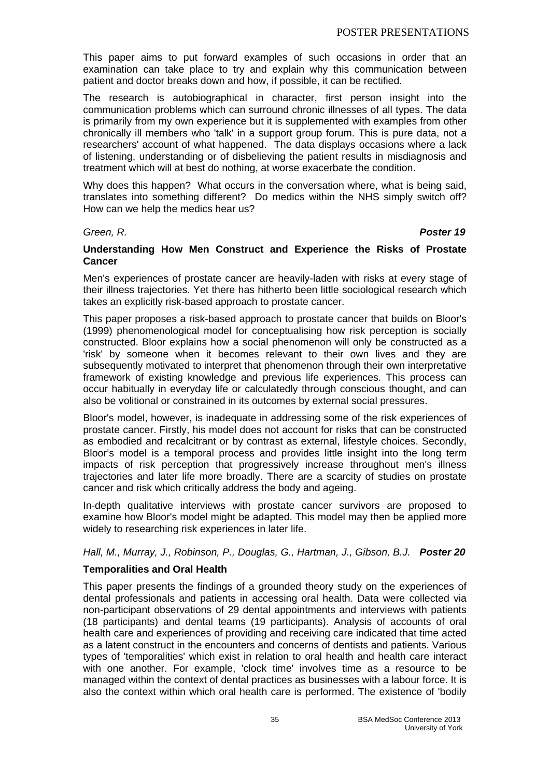This paper aims to put forward examples of such occasions in order that an examination can take place to try and explain why this communication between patient and doctor breaks down and how, if possible, it can be rectified.

The research is autobiographical in character, first person insight into the communication problems which can surround chronic illnesses of all types. The data is primarily from my own experience but it is supplemented with examples from other chronically ill members who 'talk' in a support group forum. This is pure data, not a researchers' account of what happened. The data displays occasions where a lack of listening, understanding or of disbelieving the patient results in misdiagnosis and treatment which will at best do nothing, at worse exacerbate the condition.

Why does this happen? What occurs in the conversation where, what is being said, translates into something different? Do medics within the NHS simply switch off? How can we help the medics hear us?

#### *Green, R. Poster 19*

### **Understanding How Men Construct and Experience the Risks of Prostate Cancer**

Men's experiences of prostate cancer are heavily-laden with risks at every stage of their illness trajectories. Yet there has hitherto been little sociological research which takes an explicitly risk-based approach to prostate cancer.

This paper proposes a risk-based approach to prostate cancer that builds on Bloor's (1999) phenomenological model for conceptualising how risk perception is socially constructed. Bloor explains how a social phenomenon will only be constructed as a 'risk' by someone when it becomes relevant to their own lives and they are subsequently motivated to interpret that phenomenon through their own interpretative framework of existing knowledge and previous life experiences. This process can occur habitually in everyday life or calculatedly through conscious thought, and can also be volitional or constrained in its outcomes by external social pressures.

Bloor's model, however, is inadequate in addressing some of the risk experiences of prostate cancer. Firstly, his model does not account for risks that can be constructed as embodied and recalcitrant or by contrast as external, lifestyle choices. Secondly, Bloor's model is a temporal process and provides little insight into the long term impacts of risk perception that progressively increase throughout men's illness trajectories and later life more broadly. There are a scarcity of studies on prostate cancer and risk which critically address the body and ageing.

In-depth qualitative interviews with prostate cancer survivors are proposed to examine how Bloor's model might be adapted. This model may then be applied more widely to researching risk experiences in later life.

# *Hall, M., Murray, J., Robinson, P., Douglas, G., Hartman, J., Gibson, B.J. Poster 20*

# **Temporalities and Oral Health**

This paper presents the findings of a grounded theory study on the experiences of dental professionals and patients in accessing oral health. Data were collected via non-participant observations of 29 dental appointments and interviews with patients (18 participants) and dental teams (19 participants). Analysis of accounts of oral health care and experiences of providing and receiving care indicated that time acted as a latent construct in the encounters and concerns of dentists and patients. Various types of 'temporalities' which exist in relation to oral health and health care interact with one another. For example, 'clock time' involves time as a resource to be managed within the context of dental practices as businesses with a labour force. It is also the context within which oral health care is performed. The existence of 'bodily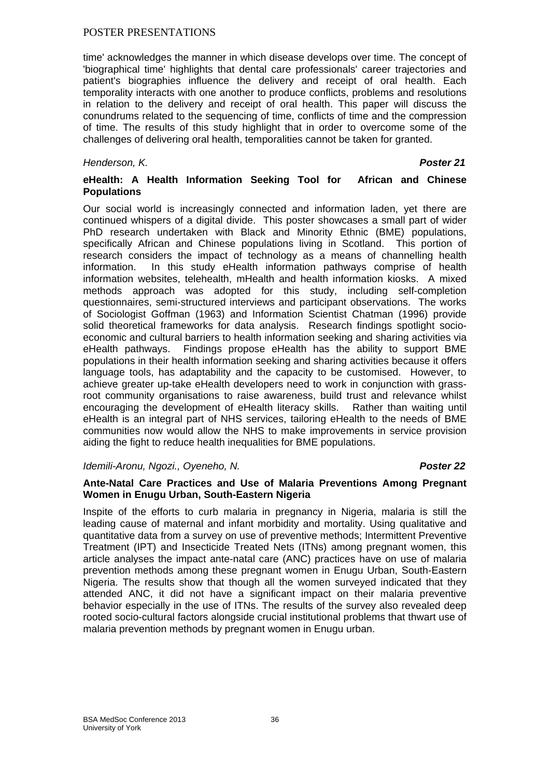time' acknowledges the manner in which disease develops over time. The concept of 'biographical time' highlights that dental care professionals' career trajectories and patient's biographies influence the delivery and receipt of oral health. Each temporality interacts with one another to produce conflicts, problems and resolutions in relation to the delivery and receipt of oral health. This paper will discuss the conundrums related to the sequencing of time, conflicts of time and the compression of time. The results of this study highlight that in order to overcome some of the challenges of delivering oral health, temporalities cannot be taken for granted.

### *Henderson, K. Poster 21*

# **eHealth: A Health Information Seeking Tool for African and Chinese Populations**

Our social world is increasingly connected and information laden, yet there are continued whispers of a digital divide. This poster showcases a small part of wider PhD research undertaken with Black and Minority Ethnic (BME) populations, specifically African and Chinese populations living in Scotland. This portion of research considers the impact of technology as a means of channelling health information. In this study eHealth information pathways comprise of health information websites, telehealth, mHealth and health information kiosks. A mixed methods approach was adopted for this study, including self-completion questionnaires, semi-structured interviews and participant observations. The works of Sociologist Goffman (1963) and Information Scientist Chatman (1996) provide solid theoretical frameworks for data analysis. Research findings spotlight socioeconomic and cultural barriers to health information seeking and sharing activities via eHealth pathways. Findings propose eHealth has the ability to support BME populations in their health information seeking and sharing activities because it offers language tools, has adaptability and the capacity to be customised. However, to achieve greater up-take eHealth developers need to work in conjunction with grassroot community organisations to raise awareness, build trust and relevance whilst encouraging the development of eHealth literacy skills. Rather than waiting until eHealth is an integral part of NHS services, tailoring eHealth to the needs of BME communities now would allow the NHS to make improvements in service provision aiding the fight to reduce health inequalities for BME populations.

# *Idemili-Aronu, Ngozi., Oyeneho, N. Poster 22*

### **Ante-Natal Care Practices and Use of Malaria Preventions Among Pregnant Women in Enugu Urban, South-Eastern Nigeria**

Inspite of the efforts to curb malaria in pregnancy in Nigeria, malaria is still the leading cause of maternal and infant morbidity and mortality. Using qualitative and quantitative data from a survey on use of preventive methods; Intermittent Preventive Treatment (IPT) and Insecticide Treated Nets (ITNs) among pregnant women, this article analyses the impact ante-natal care (ANC) practices have on use of malaria prevention methods among these pregnant women in Enugu Urban, South-Eastern Nigeria. The results show that though all the women surveyed indicated that they attended ANC, it did not have a significant impact on their malaria preventive behavior especially in the use of ITNs. The results of the survey also revealed deep rooted socio-cultural factors alongside crucial institutional problems that thwart use of malaria prevention methods by pregnant women in Enugu urban.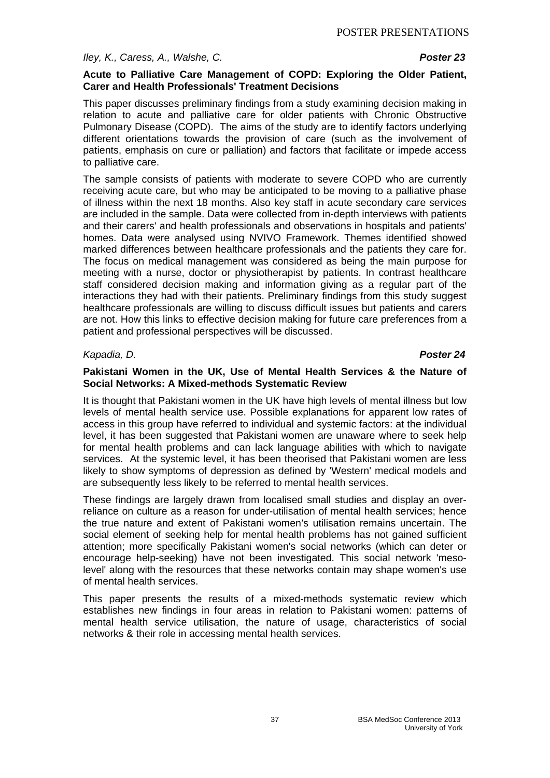#### *Iley, K., Caress, A., Walshe, C. Poster 23*

#### **Acute to Palliative Care Management of COPD: Exploring the Older Patient, Carer and Health Professionals' Treatment Decisions**

This paper discusses preliminary findings from a study examining decision making in relation to acute and palliative care for older patients with Chronic Obstructive Pulmonary Disease (COPD). The aims of the study are to identify factors underlying different orientations towards the provision of care (such as the involvement of patients, emphasis on cure or palliation) and factors that facilitate or impede access to palliative care.

The sample consists of patients with moderate to severe COPD who are currently receiving acute care, but who may be anticipated to be moving to a palliative phase of illness within the next 18 months. Also key staff in acute secondary care services are included in the sample. Data were collected from in-depth interviews with patients and their carers' and health professionals and observations in hospitals and patients' homes. Data were analysed using NVIVO Framework. Themes identified showed marked differences between healthcare professionals and the patients they care for. The focus on medical management was considered as being the main purpose for meeting with a nurse, doctor or physiotherapist by patients. In contrast healthcare staff considered decision making and information giving as a regular part of the interactions they had with their patients. Preliminary findings from this study suggest healthcare professionals are willing to discuss difficult issues but patients and carers are not. How this links to effective decision making for future care preferences from a patient and professional perspectives will be discussed.

#### *Kapadia, D. Poster 24*

#### **Pakistani Women in the UK, Use of Mental Health Services & the Nature of Social Networks: A Mixed-methods Systematic Review**

It is thought that Pakistani women in the UK have high levels of mental illness but low levels of mental health service use. Possible explanations for apparent low rates of access in this group have referred to individual and systemic factors: at the individual level, it has been suggested that Pakistani women are unaware where to seek help for mental health problems and can lack language abilities with which to navigate services. At the systemic level, it has been theorised that Pakistani women are less likely to show symptoms of depression as defined by 'Western' medical models and are subsequently less likely to be referred to mental health services.

These findings are largely drawn from localised small studies and display an overreliance on culture as a reason for under-utilisation of mental health services; hence the true nature and extent of Pakistani women's utilisation remains uncertain. The social element of seeking help for mental health problems has not gained sufficient attention; more specifically Pakistani women's social networks (which can deter or encourage help-seeking) have not been investigated. This social network 'mesolevel' along with the resources that these networks contain may shape women's use of mental health services.

This paper presents the results of a mixed-methods systematic review which establishes new findings in four areas in relation to Pakistani women: patterns of mental health service utilisation, the nature of usage, characteristics of social networks & their role in accessing mental health services.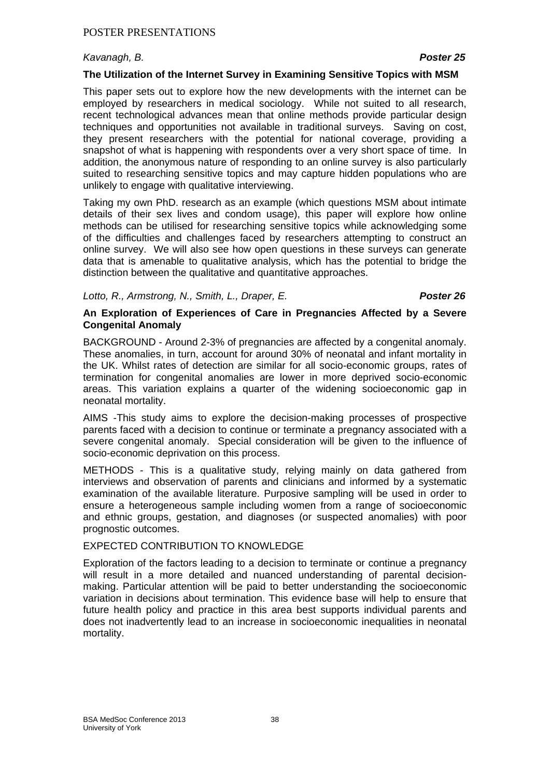# *Kavanagh, B. Poster 25*

### **The Utilization of the Internet Survey in Examining Sensitive Topics with MSM**

This paper sets out to explore how the new developments with the internet can be employed by researchers in medical sociology. While not suited to all research, recent technological advances mean that online methods provide particular design techniques and opportunities not available in traditional surveys. Saving on cost, they present researchers with the potential for national coverage, providing a snapshot of what is happening with respondents over a very short space of time. In addition, the anonymous nature of responding to an online survey is also particularly suited to researching sensitive topics and may capture hidden populations who are unlikely to engage with qualitative interviewing.

Taking my own PhD. research as an example (which questions MSM about intimate details of their sex lives and condom usage), this paper will explore how online methods can be utilised for researching sensitive topics while acknowledging some of the difficulties and challenges faced by researchers attempting to construct an online survey. We will also see how open questions in these surveys can generate data that is amenable to qualitative analysis, which has the potential to bridge the distinction between the qualitative and quantitative approaches.

### *Lotto, R., Armstrong, N., Smith, L., Draper, E. Poster 26*

### **An Exploration of Experiences of Care in Pregnancies Affected by a Severe Congenital Anomaly**

BACKGROUND - Around 2-3% of pregnancies are affected by a congenital anomaly. These anomalies, in turn, account for around 30% of neonatal and infant mortality in the UK. Whilst rates of detection are similar for all socio-economic groups, rates of termination for congenital anomalies are lower in more deprived socio-economic areas. This variation explains a quarter of the widening socioeconomic gap in neonatal mortality.

AIMS -This study aims to explore the decision-making processes of prospective parents faced with a decision to continue or terminate a pregnancy associated with a severe congenital anomaly. Special consideration will be given to the influence of socio-economic deprivation on this process.

METHODS - This is a qualitative study, relying mainly on data gathered from interviews and observation of parents and clinicians and informed by a systematic examination of the available literature. Purposive sampling will be used in order to ensure a heterogeneous sample including women from a range of socioeconomic and ethnic groups, gestation, and diagnoses (or suspected anomalies) with poor prognostic outcomes.

### EXPECTED CONTRIBUTION TO KNOWLEDGE

Exploration of the factors leading to a decision to terminate or continue a pregnancy will result in a more detailed and nuanced understanding of parental decisionmaking. Particular attention will be paid to better understanding the socioeconomic variation in decisions about termination. This evidence base will help to ensure that future health policy and practice in this area best supports individual parents and does not inadvertently lead to an increase in socioeconomic inequalities in neonatal mortality.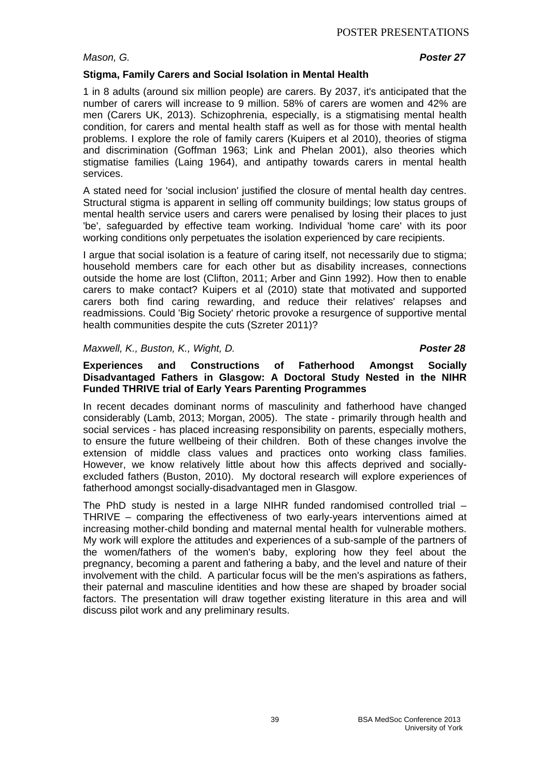*Mason, G. Poster 27*

# **Stigma, Family Carers and Social Isolation in Mental Health**

1 in 8 adults (around six million people) are carers. By 2037, it's anticipated that the number of carers will increase to 9 million. 58% of carers are women and 42% are men (Carers UK, 2013). Schizophrenia, especially, is a stigmatising mental health condition, for carers and mental health staff as well as for those with mental health problems. I explore the role of family carers (Kuipers et al 2010), theories of stigma and discrimination (Goffman 1963; Link and Phelan 2001), also theories which stigmatise families (Laing 1964), and antipathy towards carers in mental health services.

A stated need for 'social inclusion' justified the closure of mental health day centres. Structural stigma is apparent in selling off community buildings; low status groups of mental health service users and carers were penalised by losing their places to just 'be', safeguarded by effective team working. Individual 'home care' with its poor working conditions only perpetuates the isolation experienced by care recipients.

I argue that social isolation is a feature of caring itself, not necessarily due to stigma; household members care for each other but as disability increases, connections outside the home are lost (Clifton, 2011; Arber and Ginn 1992). How then to enable carers to make contact? Kuipers et al (2010) state that motivated and supported carers both find caring rewarding, and reduce their relatives' relapses and readmissions. Could 'Big Society' rhetoric provoke a resurgence of supportive mental health communities despite the cuts (Szreter 2011)?

# *Maxwell, K., Buston, K., Wight, D. Poster 28*

# **Experiences and Constructions of Fatherhood Amongst Socially Disadvantaged Fathers in Glasgow: A Doctoral Study Nested in the NIHR Funded THRIVE trial of Early Years Parenting Programmes**

In recent decades dominant norms of masculinity and fatherhood have changed considerably (Lamb, 2013; Morgan, 2005). The state - primarily through health and social services - has placed increasing responsibility on parents, especially mothers, to ensure the future wellbeing of their children. Both of these changes involve the extension of middle class values and practices onto working class families. However, we know relatively little about how this affects deprived and sociallyexcluded fathers (Buston, 2010). My doctoral research will explore experiences of fatherhood amongst socially-disadvantaged men in Glasgow.

The PhD study is nested in a large NIHR funded randomised controlled trial – THRIVE – comparing the effectiveness of two early-years interventions aimed at increasing mother-child bonding and maternal mental health for vulnerable mothers. My work will explore the attitudes and experiences of a sub-sample of the partners of the women/fathers of the women's baby, exploring how they feel about the pregnancy, becoming a parent and fathering a baby, and the level and nature of their involvement with the child. A particular focus will be the men's aspirations as fathers, their paternal and masculine identities and how these are shaped by broader social factors. The presentation will draw together existing literature in this area and will discuss pilot work and any preliminary results.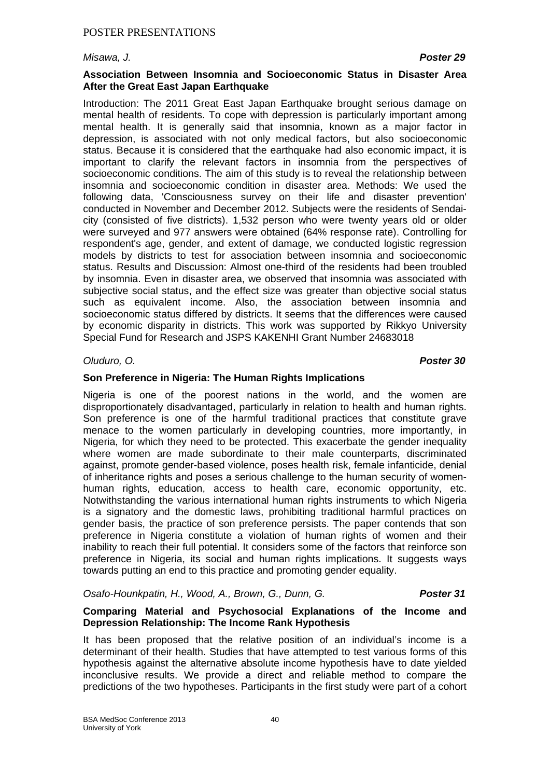#### *Misawa, J. Poster 29*

### **Association Between Insomnia and Socioeconomic Status in Disaster Area After the Great East Japan Earthquake**

Introduction: The 2011 Great East Japan Earthquake brought serious damage on mental health of residents. To cope with depression is particularly important among mental health. It is generally said that insomnia, known as a major factor in depression, is associated with not only medical factors, but also socioeconomic status. Because it is considered that the earthquake had also economic impact, it is important to clarify the relevant factors in insomnia from the perspectives of socioeconomic conditions. The aim of this study is to reveal the relationship between insomnia and socioeconomic condition in disaster area. Methods: We used the following data, 'Consciousness survey on their life and disaster prevention' conducted in November and December 2012. Subjects were the residents of Sendaicity (consisted of five districts). 1,532 person who were twenty years old or older were surveyed and 977 answers were obtained (64% response rate). Controlling for respondent's age, gender, and extent of damage, we conducted logistic regression models by districts to test for association between insomnia and socioeconomic status. Results and Discussion: Almost one-third of the residents had been troubled by insomnia. Even in disaster area, we observed that insomnia was associated with subjective social status, and the effect size was greater than objective social status such as equivalent income. Also, the association between insomnia and socioeconomic status differed by districts. It seems that the differences were caused by economic disparity in districts. This work was supported by Rikkyo University Special Fund for Research and JSPS KAKENHI Grant Number 24683018

#### *Oluduro, O. Poster 30*

### **Son Preference in Nigeria: The Human Rights Implications**

Nigeria is one of the poorest nations in the world, and the women are disproportionately disadvantaged, particularly in relation to health and human rights. Son preference is one of the harmful traditional practices that constitute grave menace to the women particularly in developing countries, more importantly, in Nigeria, for which they need to be protected. This exacerbate the gender inequality where women are made subordinate to their male counterparts, discriminated against, promote gender-based violence, poses health risk, female infanticide, denial of inheritance rights and poses a serious challenge to the human security of womenhuman rights, education, access to health care, economic opportunity, etc. Notwithstanding the various international human rights instruments to which Nigeria is a signatory and the domestic laws, prohibiting traditional harmful practices on gender basis, the practice of son preference persists. The paper contends that son preference in Nigeria constitute a violation of human rights of women and their inability to reach their full potential. It considers some of the factors that reinforce son preference in Nigeria, its social and human rights implications. It suggests ways towards putting an end to this practice and promoting gender equality.

# *Osafo-Hounkpatin, H., Wood, A., Brown, G., Dunn, G. Poster 31*

### **Comparing Material and Psychosocial Explanations of the Income and Depression Relationship: The Income Rank Hypothesis**

It has been proposed that the relative position of an individual's income is a determinant of their health. Studies that have attempted to test various forms of this hypothesis against the alternative absolute income hypothesis have to date yielded inconclusive results. We provide a direct and reliable method to compare the predictions of the two hypotheses. Participants in the first study were part of a cohort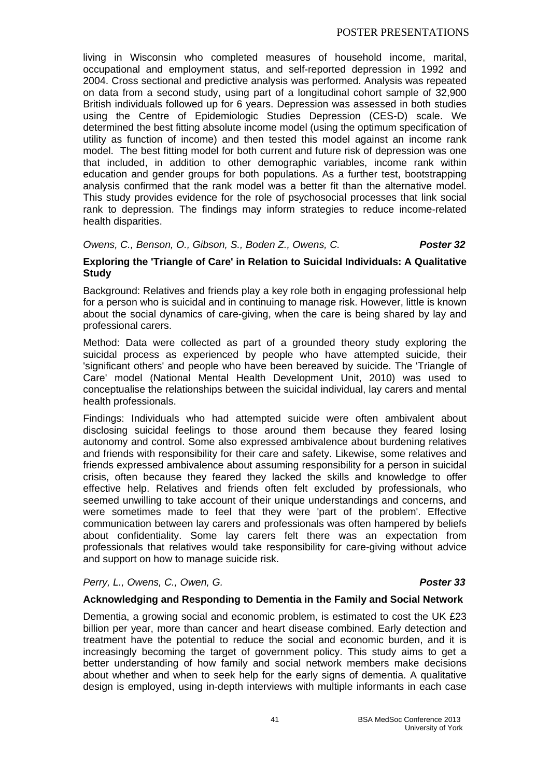living in Wisconsin who completed measures of household income, marital, occupational and employment status, and self-reported depression in 1992 and 2004. Cross sectional and predictive analysis was performed. Analysis was repeated on data from a second study, using part of a longitudinal cohort sample of 32,900 British individuals followed up for 6 years. Depression was assessed in both studies using the Centre of Epidemiologic Studies Depression (CES-D) scale. We determined the best fitting absolute income model (using the optimum specification of utility as function of income) and then tested this model against an income rank model. The best fitting model for both current and future risk of depression was one that included, in addition to other demographic variables, income rank within education and gender groups for both populations. As a further test, bootstrapping analysis confirmed that the rank model was a better fit than the alternative model. This study provides evidence for the role of psychosocial processes that link social rank to depression. The findings may inform strategies to reduce income-related health disparities.

# *Owens, C., Benson, O., Gibson, S., Boden Z., Owens, C. Poster 32*

### **Exploring the 'Triangle of Care' in Relation to Suicidal Individuals: A Qualitative Study**

Background: Relatives and friends play a key role both in engaging professional help for a person who is suicidal and in continuing to manage risk. However, little is known about the social dynamics of care-giving, when the care is being shared by lay and professional carers.

Method: Data were collected as part of a grounded theory study exploring the suicidal process as experienced by people who have attempted suicide, their 'significant others' and people who have been bereaved by suicide. The 'Triangle of Care' model (National Mental Health Development Unit, 2010) was used to conceptualise the relationships between the suicidal individual, lay carers and mental health professionals.

Findings: Individuals who had attempted suicide were often ambivalent about disclosing suicidal feelings to those around them because they feared losing autonomy and control. Some also expressed ambivalence about burdening relatives and friends with responsibility for their care and safety. Likewise, some relatives and friends expressed ambivalence about assuming responsibility for a person in suicidal crisis, often because they feared they lacked the skills and knowledge to offer effective help. Relatives and friends often felt excluded by professionals, who seemed unwilling to take account of their unique understandings and concerns, and were sometimes made to feel that they were 'part of the problem'. Effective communication between lay carers and professionals was often hampered by beliefs about confidentiality. Some lay carers felt there was an expectation from professionals that relatives would take responsibility for care-giving without advice and support on how to manage suicide risk.

# *Perry, L., Owens, C., Owen, G. Poster 33*

#### **Acknowledging and Responding to Dementia in the Family and Social Network**

Dementia, a growing social and economic problem, is estimated to cost the UK £23 billion per year, more than cancer and heart disease combined. Early detection and treatment have the potential to reduce the social and economic burden, and it is increasingly becoming the target of government policy. This study aims to get a better understanding of how family and social network members make decisions about whether and when to seek help for the early signs of dementia. A qualitative design is employed, using in-depth interviews with multiple informants in each case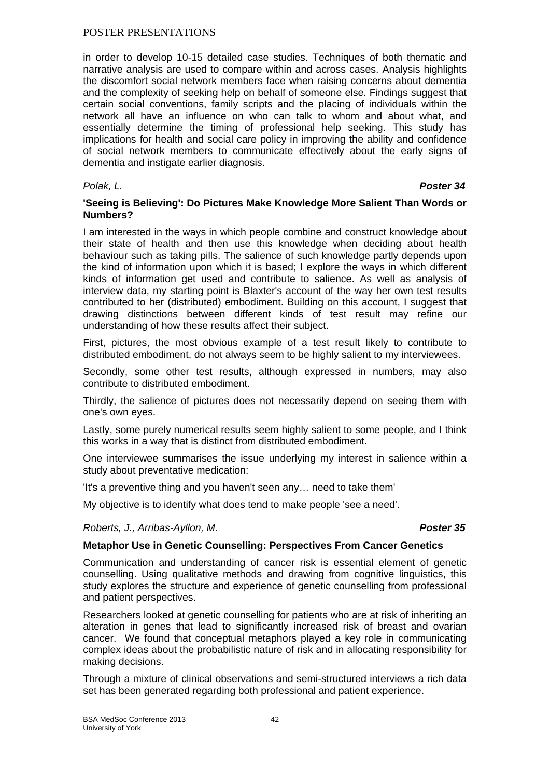in order to develop 10-15 detailed case studies. Techniques of both thematic and narrative analysis are used to compare within and across cases. Analysis highlights the discomfort social network members face when raising concerns about dementia and the complexity of seeking help on behalf of someone else. Findings suggest that certain social conventions, family scripts and the placing of individuals within the network all have an influence on who can talk to whom and about what, and essentially determine the timing of professional help seeking. This study has implications for health and social care policy in improving the ability and confidence of social network members to communicate effectively about the early signs of dementia and instigate earlier diagnosis.

### *Polak, L. Poster 34*

# **'Seeing is Believing': Do Pictures Make Knowledge More Salient Than Words or Numbers?**

I am interested in the ways in which people combine and construct knowledge about their state of health and then use this knowledge when deciding about health behaviour such as taking pills. The salience of such knowledge partly depends upon the kind of information upon which it is based; I explore the ways in which different kinds of information get used and contribute to salience. As well as analysis of interview data, my starting point is Blaxter's account of the way her own test results contributed to her (distributed) embodiment. Building on this account, I suggest that drawing distinctions between different kinds of test result may refine our understanding of how these results affect their subject.

First, pictures, the most obvious example of a test result likely to contribute to distributed embodiment, do not always seem to be highly salient to my interviewees.

Secondly, some other test results, although expressed in numbers, may also contribute to distributed embodiment.

Thirdly, the salience of pictures does not necessarily depend on seeing them with one's own eyes.

Lastly, some purely numerical results seem highly salient to some people, and I think this works in a way that is distinct from distributed embodiment.

One interviewee summarises the issue underlying my interest in salience within a study about preventative medication:

'It's a preventive thing and you haven't seen any… need to take them'

My objective is to identify what does tend to make people 'see a need'.

*Roberts, J., Arribas-Ayllon, M. Poster 35*

#### **Metaphor Use in Genetic Counselling: Perspectives From Cancer Genetics**

Communication and understanding of cancer risk is essential element of genetic counselling. Using qualitative methods and drawing from cognitive linguistics, this study explores the structure and experience of genetic counselling from professional and patient perspectives.

Researchers looked at genetic counselling for patients who are at risk of inheriting an alteration in genes that lead to significantly increased risk of breast and ovarian cancer. We found that conceptual metaphors played a key role in communicating complex ideas about the probabilistic nature of risk and in allocating responsibility for making decisions.

Through a mixture of clinical observations and semi-structured interviews a rich data set has been generated regarding both professional and patient experience.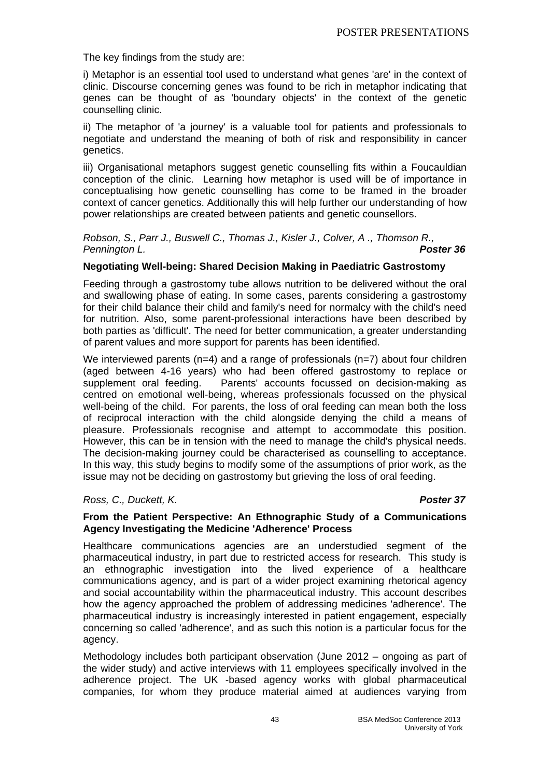The key findings from the study are:

i) Metaphor is an essential tool used to understand what genes 'are' in the context of clinic. Discourse concerning genes was found to be rich in metaphor indicating that genes can be thought of as 'boundary objects' in the context of the genetic counselling clinic.

ii) The metaphor of 'a journey' is a valuable tool for patients and professionals to negotiate and understand the meaning of both of risk and responsibility in cancer genetics.

iii) Organisational metaphors suggest genetic counselling fits within a Foucauldian conception of the clinic. Learning how metaphor is used will be of importance in conceptualising how genetic counselling has come to be framed in the broader context of cancer genetics. Additionally this will help further our understanding of how power relationships are created between patients and genetic counsellors.

*Robson, S., Parr J., Buswell C., Thomas J., Kisler J., Colver, A ., Thomson R., Pennington L. Poster 36*

### **Negotiating Well-being: Shared Decision Making in Paediatric Gastrostomy**

Feeding through a gastrostomy tube allows nutrition to be delivered without the oral and swallowing phase of eating. In some cases, parents considering a gastrostomy for their child balance their child and family's need for normalcy with the child's need for nutrition. Also, some parent-professional interactions have been described by both parties as 'difficult'. The need for better communication, a greater understanding of parent values and more support for parents has been identified.

We interviewed parents  $(n=4)$  and a range of professionals  $(n=7)$  about four children (aged between 4-16 years) who had been offered gastrostomy to replace or supplement oral feeding. Parents' accounts focussed on decision-making as centred on emotional well-being, whereas professionals focussed on the physical well-being of the child. For parents, the loss of oral feeding can mean both the loss of reciprocal interaction with the child alongside denying the child a means of pleasure. Professionals recognise and attempt to accommodate this position. However, this can be in tension with the need to manage the child's physical needs. The decision-making journey could be characterised as counselling to acceptance. In this way, this study begins to modify some of the assumptions of prior work, as the issue may not be deciding on gastrostomy but grieving the loss of oral feeding.

#### *Ross, C., Duckett, K. Poster 37*

#### **From the Patient Perspective: An Ethnographic Study of a Communications Agency Investigating the Medicine 'Adherence' Process**

Healthcare communications agencies are an understudied segment of the pharmaceutical industry, in part due to restricted access for research. This study is an ethnographic investigation into the lived experience of a healthcare communications agency, and is part of a wider project examining rhetorical agency and social accountability within the pharmaceutical industry. This account describes how the agency approached the problem of addressing medicines 'adherence'. The pharmaceutical industry is increasingly interested in patient engagement, especially concerning so called 'adherence', and as such this notion is a particular focus for the agency.

Methodology includes both participant observation (June 2012 – ongoing as part of the wider study) and active interviews with 11 employees specifically involved in the adherence project. The UK -based agency works with global pharmaceutical companies, for whom they produce material aimed at audiences varying from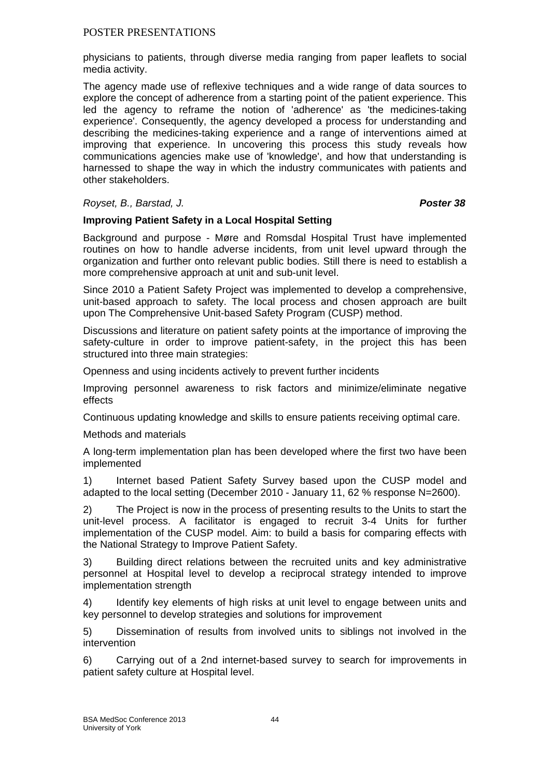physicians to patients, through diverse media ranging from paper leaflets to social media activity.

The agency made use of reflexive techniques and a wide range of data sources to explore the concept of adherence from a starting point of the patient experience. This led the agency to reframe the notion of 'adherence' as 'the medicines-taking experience'. Consequently, the agency developed a process for understanding and describing the medicines-taking experience and a range of interventions aimed at improving that experience. In uncovering this process this study reveals how communications agencies make use of 'knowledge', and how that understanding is harnessed to shape the way in which the industry communicates with patients and other stakeholders.

# *Royset, B., Barstad, J. Poster 38*

# **Improving Patient Safety in a Local Hospital Setting**

Background and purpose - Møre and Romsdal Hospital Trust have implemented routines on how to handle adverse incidents, from unit level upward through the organization and further onto relevant public bodies. Still there is need to establish a more comprehensive approach at unit and sub-unit level.

Since 2010 a Patient Safety Project was implemented to develop a comprehensive, unit-based approach to safety. The local process and chosen approach are built upon The Comprehensive Unit-based Safety Program (CUSP) method.

Discussions and literature on patient safety points at the importance of improving the safety-culture in order to improve patient-safety, in the project this has been structured into three main strategies:

Openness and using incidents actively to prevent further incidents

Improving personnel awareness to risk factors and minimize/eliminate negative effects

Continuous updating knowledge and skills to ensure patients receiving optimal care.

Methods and materials

A long-term implementation plan has been developed where the first two have been implemented

1) Internet based Patient Safety Survey based upon the CUSP model and adapted to the local setting (December 2010 - January 11, 62 % response N=2600).

2) The Project is now in the process of presenting results to the Units to start the unit-level process. A facilitator is engaged to recruit 3-4 Units for further implementation of the CUSP model. Aim: to build a basis for comparing effects with the National Strategy to Improve Patient Safety.

3) Building direct relations between the recruited units and key administrative personnel at Hospital level to develop a reciprocal strategy intended to improve implementation strength

4) Identify key elements of high risks at unit level to engage between units and key personnel to develop strategies and solutions for improvement

5) Dissemination of results from involved units to siblings not involved in the intervention

6) Carrying out of a 2nd internet-based survey to search for improvements in patient safety culture at Hospital level.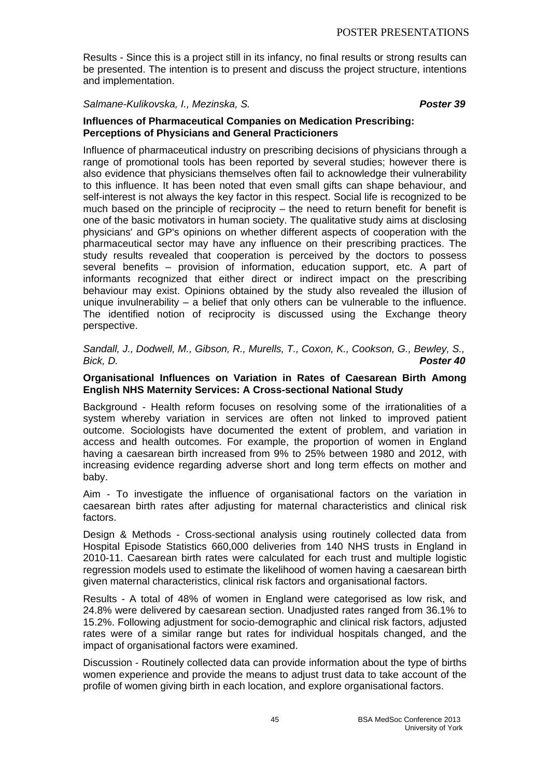Results - Since this is a project still in its infancy, no final results or strong results can be presented. The intention is to present and discuss the project structure, intentions and implementation.

### *Salmane-Kulikovska, I., Mezinska, S. Poster 39*

### **Influences of Pharmaceutical Companies on Medication Prescribing: Perceptions of Physicians and General Practicioners**

Influence of pharmaceutical industry on prescribing decisions of physicians through a range of promotional tools has been reported by several studies; however there is also evidence that physicians themselves often fail to acknowledge their vulnerability to this influence. It has been noted that even small gifts can shape behaviour, and self-interest is not always the key factor in this respect. Social life is recognized to be much based on the principle of reciprocity – the need to return benefit for benefit is one of the basic motivators in human society. The qualitative study aims at disclosing physicians' and GP's opinions on whether different aspects of cooperation with the pharmaceutical sector may have any influence on their prescribing practices. The study results revealed that cooperation is perceived by the doctors to possess several benefits – provision of information, education support, etc. A part of informants recognized that either direct or indirect impact on the prescribing behaviour may exist. Opinions obtained by the study also revealed the illusion of unique invulnerability – a belief that only others can be vulnerable to the influence. The identified notion of reciprocity is discussed using the Exchange theory perspective.

*Sandall, J., Dodwell, M., Gibson, R., Murells, T., Coxon, K., Cookson, G., Bewley, S., Bick, D. Poster 40*

### **Organisational Influences on Variation in Rates of Caesarean Birth Among English NHS Maternity Services: A Cross-sectional National Study**

Background - Health reform focuses on resolving some of the irrationalities of a system whereby variation in services are often not linked to improved patient outcome. Sociologists have documented the extent of problem, and variation in access and health outcomes. For example, the proportion of women in England having a caesarean birth increased from 9% to 25% between 1980 and 2012, with increasing evidence regarding adverse short and long term effects on mother and baby.

Aim - To investigate the influence of organisational factors on the variation in caesarean birth rates after adjusting for maternal characteristics and clinical risk factors.

Design & Methods - Cross-sectional analysis using routinely collected data from Hospital Episode Statistics 660,000 deliveries from 140 NHS trusts in England in 2010-11. Caesarean birth rates were calculated for each trust and multiple logistic regression models used to estimate the likelihood of women having a caesarean birth given maternal characteristics, clinical risk factors and organisational factors.

Results - A total of 48% of women in England were categorised as low risk, and 24.8% were delivered by caesarean section. Unadjusted rates ranged from 36.1% to 15.2%. Following adjustment for socio-demographic and clinical risk factors, adjusted rates were of a similar range but rates for individual hospitals changed, and the impact of organisational factors were examined.

Discussion - Routinely collected data can provide information about the type of births women experience and provide the means to adjust trust data to take account of the profile of women giving birth in each location, and explore organisational factors.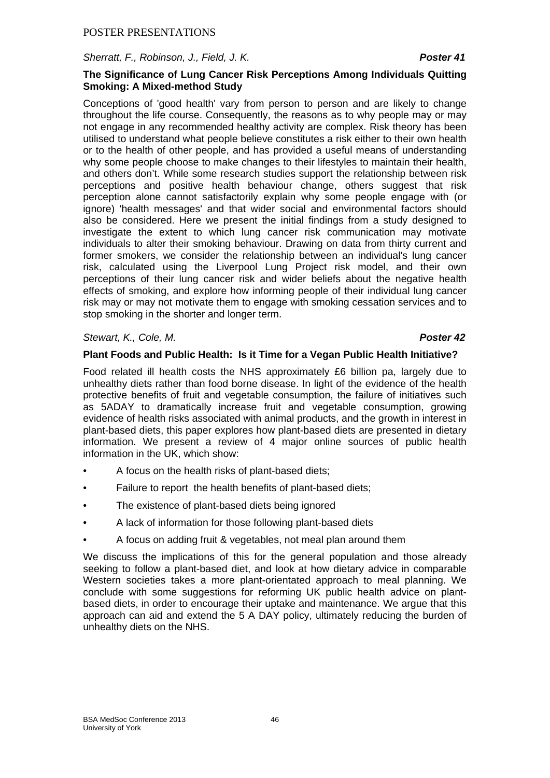*Sherratt, F., Robinson, J., Field, J. K. Poster 41*

### **The Significance of Lung Cancer Risk Perceptions Among Individuals Quitting Smoking: A Mixed-method Study**

Conceptions of 'good health' vary from person to person and are likely to change throughout the life course. Consequently, the reasons as to why people may or may not engage in any recommended healthy activity are complex. Risk theory has been utilised to understand what people believe constitutes a risk either to their own health or to the health of other people, and has provided a useful means of understanding why some people choose to make changes to their lifestyles to maintain their health, and others don't. While some research studies support the relationship between risk perceptions and positive health behaviour change, others suggest that risk perception alone cannot satisfactorily explain why some people engage with (or ignore) 'health messages' and that wider social and environmental factors should also be considered. Here we present the initial findings from a study designed to investigate the extent to which lung cancer risk communication may motivate individuals to alter their smoking behaviour. Drawing on data from thirty current and former smokers, we consider the relationship between an individual's lung cancer risk, calculated using the Liverpool Lung Project risk model, and their own perceptions of their lung cancer risk and wider beliefs about the negative health effects of smoking, and explore how informing people of their individual lung cancer risk may or may not motivate them to engage with smoking cessation services and to stop smoking in the shorter and longer term.

### *Stewart, K., Cole, M. Poster 42*

# **Plant Foods and Public Health: Is it Time for a Vegan Public Health Initiative?**

Food related ill health costs the NHS approximately £6 billion pa, largely due to unhealthy diets rather than food borne disease. In light of the evidence of the health protective benefits of fruit and vegetable consumption, the failure of initiatives such as 5ADAY to dramatically increase fruit and vegetable consumption, growing evidence of health risks associated with animal products, and the growth in interest in plant-based diets, this paper explores how plant-based diets are presented in dietary information. We present a review of 4 major online sources of public health information in the UK, which show:

- A focus on the health risks of plant-based diets;
- Failure to report the health benefits of plant-based diets;
- The existence of plant-based diets being ignored
- A lack of information for those following plant-based diets
- A focus on adding fruit & vegetables, not meal plan around them

We discuss the implications of this for the general population and those already seeking to follow a plant-based diet, and look at how dietary advice in comparable Western societies takes a more plant-orientated approach to meal planning. We conclude with some suggestions for reforming UK public health advice on plantbased diets, in order to encourage their uptake and maintenance. We argue that this approach can aid and extend the 5 A DAY policy, ultimately reducing the burden of unhealthy diets on the NHS.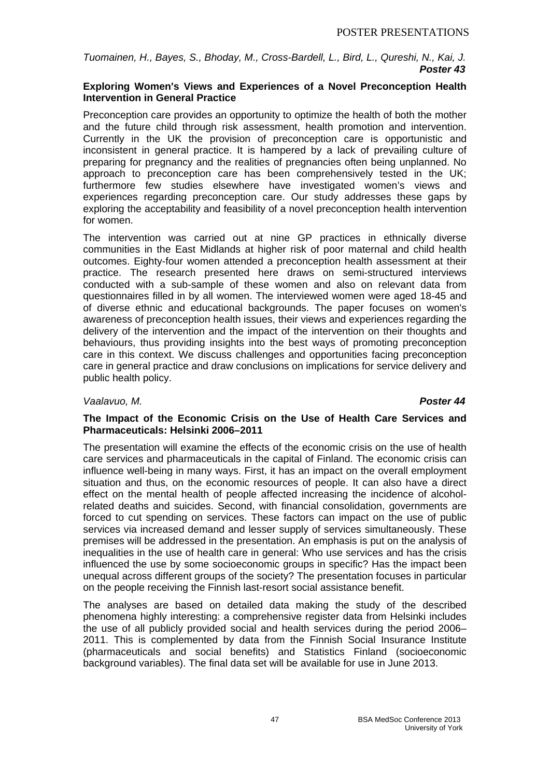*Tuomainen, H., Bayes, S., Bhoday, M., Cross-Bardell, L., Bird, L., Qureshi, N., Kai, J. Poster 43* 

### **Exploring Women's Views and Experiences of a Novel Preconception Health Intervention in General Practice**

Preconception care provides an opportunity to optimize the health of both the mother and the future child through risk assessment, health promotion and intervention. Currently in the UK the provision of preconception care is opportunistic and inconsistent in general practice. It is hampered by a lack of prevailing culture of preparing for pregnancy and the realities of pregnancies often being unplanned. No approach to preconception care has been comprehensively tested in the UK; furthermore few studies elsewhere have investigated women's views and experiences regarding preconception care. Our study addresses these gaps by exploring the acceptability and feasibility of a novel preconception health intervention for women.

The intervention was carried out at nine GP practices in ethnically diverse communities in the East Midlands at higher risk of poor maternal and child health outcomes. Eighty-four women attended a preconception health assessment at their practice. The research presented here draws on semi-structured interviews conducted with a sub-sample of these women and also on relevant data from questionnaires filled in by all women. The interviewed women were aged 18-45 and of diverse ethnic and educational backgrounds. The paper focuses on women's awareness of preconception health issues, their views and experiences regarding the delivery of the intervention and the impact of the intervention on their thoughts and behaviours, thus providing insights into the best ways of promoting preconception care in this context. We discuss challenges and opportunities facing preconception care in general practice and draw conclusions on implications for service delivery and public health policy.

# *Vaalavuo, M. Poster 44*

### **The Impact of the Economic Crisis on the Use of Health Care Services and Pharmaceuticals: Helsinki 2006–2011**

The presentation will examine the effects of the economic crisis on the use of health care services and pharmaceuticals in the capital of Finland. The economic crisis can influence well-being in many ways. First, it has an impact on the overall employment situation and thus, on the economic resources of people. It can also have a direct effect on the mental health of people affected increasing the incidence of alcoholrelated deaths and suicides. Second, with financial consolidation, governments are forced to cut spending on services. These factors can impact on the use of public services via increased demand and lesser supply of services simultaneously. These premises will be addressed in the presentation. An emphasis is put on the analysis of inequalities in the use of health care in general: Who use services and has the crisis influenced the use by some socioeconomic groups in specific? Has the impact been unequal across different groups of the society? The presentation focuses in particular on the people receiving the Finnish last-resort social assistance benefit.

The analyses are based on detailed data making the study of the described phenomena highly interesting: a comprehensive register data from Helsinki includes the use of all publicly provided social and health services during the period 2006– 2011. This is complemented by data from the Finnish Social Insurance Institute (pharmaceuticals and social benefits) and Statistics Finland (socioeconomic background variables). The final data set will be available for use in June 2013.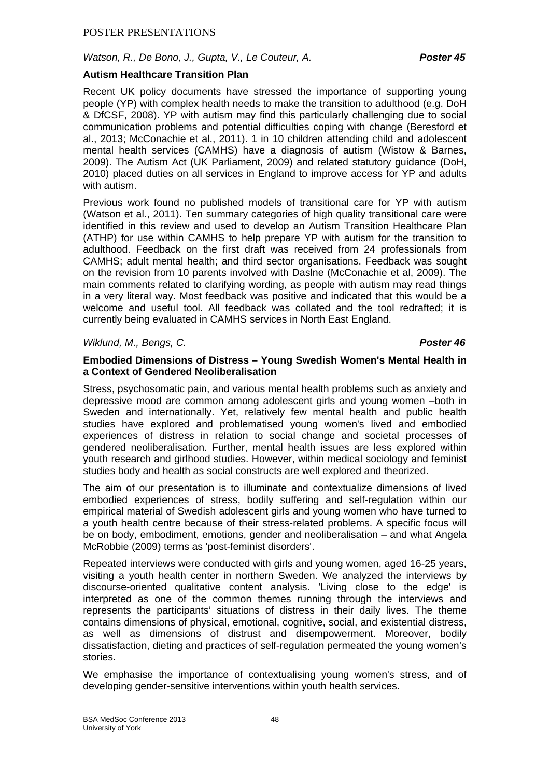# *Watson, R., De Bono, J., Gupta, V., Le Couteur, A. Poster 45*

### **Autism Healthcare Transition Plan**

Recent UK policy documents have stressed the importance of supporting young people (YP) with complex health needs to make the transition to adulthood (e.g. DoH & DfCSF, 2008). YP with autism may find this particularly challenging due to social communication problems and potential difficulties coping with change (Beresford et al., 2013; McConachie et al., 2011). 1 in 10 children attending child and adolescent mental health services (CAMHS) have a diagnosis of autism (Wistow & Barnes, 2009). The Autism Act (UK Parliament, 2009) and related statutory guidance (DoH, 2010) placed duties on all services in England to improve access for YP and adults with autism.

Previous work found no published models of transitional care for YP with autism (Watson et al., 2011). Ten summary categories of high quality transitional care were identified in this review and used to develop an Autism Transition Healthcare Plan (ATHP) for use within CAMHS to help prepare YP with autism for the transition to adulthood. Feedback on the first draft was received from 24 professionals from CAMHS; adult mental health; and third sector organisations. Feedback was sought on the revision from 10 parents involved with Daslne (McConachie et al, 2009). The main comments related to clarifying wording, as people with autism may read things in a very literal way. Most feedback was positive and indicated that this would be a welcome and useful tool. All feedback was collated and the tool redrafted; it is currently being evaluated in CAMHS services in North East England.

### *Wiklund, M., Bengs, C. Poster 46*

### **Embodied Dimensions of Distress – Young Swedish Women's Mental Health in a Context of Gendered Neoliberalisation**

Stress, psychosomatic pain, and various mental health problems such as anxiety and depressive mood are common among adolescent girls and young women –both in Sweden and internationally. Yet, relatively few mental health and public health studies have explored and problematised young women's lived and embodied experiences of distress in relation to social change and societal processes of gendered neoliberalisation. Further, mental health issues are less explored within youth research and girlhood studies. However, within medical sociology and feminist studies body and health as social constructs are well explored and theorized.

The aim of our presentation is to illuminate and contextualize dimensions of lived embodied experiences of stress, bodily suffering and self-regulation within our empirical material of Swedish adolescent girls and young women who have turned to a youth health centre because of their stress-related problems. A specific focus will be on body, embodiment, emotions, gender and neoliberalisation – and what Angela McRobbie (2009) terms as 'post-feminist disorders'.

Repeated interviews were conducted with girls and young women, aged 16-25 years, visiting a youth health center in northern Sweden. We analyzed the interviews by discourse-oriented qualitative content analysis. 'Living close to the edge' is interpreted as one of the common themes running through the interviews and represents the participants' situations of distress in their daily lives. The theme contains dimensions of physical, emotional, cognitive, social, and existential distress, as well as dimensions of distrust and disempowerment. Moreover, bodily dissatisfaction, dieting and practices of self-regulation permeated the young women's stories.

We emphasise the importance of contextualising young women's stress, and of developing gender-sensitive interventions within youth health services.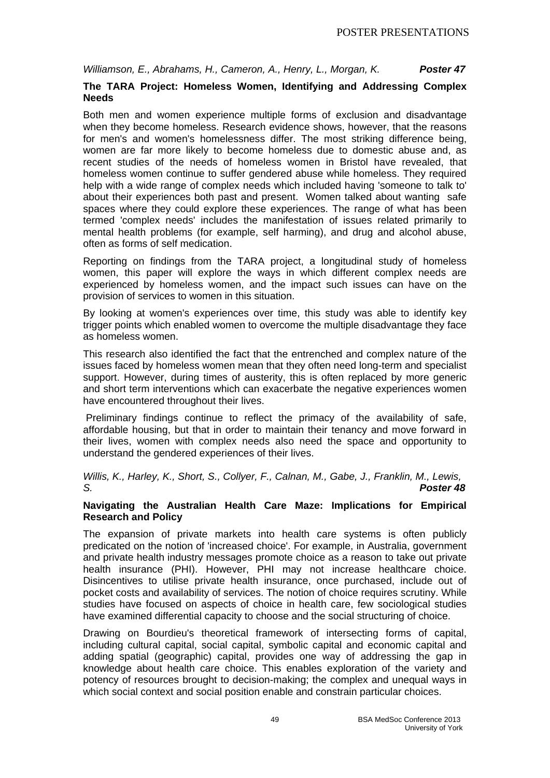*Williamson, E., Abrahams, H., Cameron, A., Henry, L., Morgan, K. Poster 47*

# **The TARA Project: Homeless Women, Identifying and Addressing Complex Needs**

Both men and women experience multiple forms of exclusion and disadvantage when they become homeless. Research evidence shows, however, that the reasons for men's and women's homelessness differ. The most striking difference being, women are far more likely to become homeless due to domestic abuse and, as recent studies of the needs of homeless women in Bristol have revealed, that homeless women continue to suffer gendered abuse while homeless. They required help with a wide range of complex needs which included having 'someone to talk to' about their experiences both past and present. Women talked about wanting safe spaces where they could explore these experiences. The range of what has been termed 'complex needs' includes the manifestation of issues related primarily to mental health problems (for example, self harming), and drug and alcohol abuse, often as forms of self medication.

Reporting on findings from the TARA project, a longitudinal study of homeless women, this paper will explore the ways in which different complex needs are experienced by homeless women, and the impact such issues can have on the provision of services to women in this situation.

By looking at women's experiences over time, this study was able to identify key trigger points which enabled women to overcome the multiple disadvantage they face as homeless women.

This research also identified the fact that the entrenched and complex nature of the issues faced by homeless women mean that they often need long-term and specialist support. However, during times of austerity, this is often replaced by more generic and short term interventions which can exacerbate the negative experiences women have encountered throughout their lives.

 Preliminary findings continue to reflect the primacy of the availability of safe, affordable housing, but that in order to maintain their tenancy and move forward in their lives, women with complex needs also need the space and opportunity to understand the gendered experiences of their lives.

*Willis, K., Harley, K., Short, S., Collyer, F., Calnan, M., Gabe, J., Franklin, M., Lewis, S. Poster 48*

### **Navigating the Australian Health Care Maze: Implications for Empirical Research and Policy**

The expansion of private markets into health care systems is often publicly predicated on the notion of 'increased choice'. For example, in Australia, government and private health industry messages promote choice as a reason to take out private health insurance (PHI). However, PHI may not increase healthcare choice. Disincentives to utilise private health insurance, once purchased, include out of pocket costs and availability of services. The notion of choice requires scrutiny. While studies have focused on aspects of choice in health care, few sociological studies have examined differential capacity to choose and the social structuring of choice.

Drawing on Bourdieu's theoretical framework of intersecting forms of capital, including cultural capital, social capital, symbolic capital and economic capital and adding spatial (geographic) capital, provides one way of addressing the gap in knowledge about health care choice. This enables exploration of the variety and potency of resources brought to decision-making; the complex and unequal ways in which social context and social position enable and constrain particular choices.